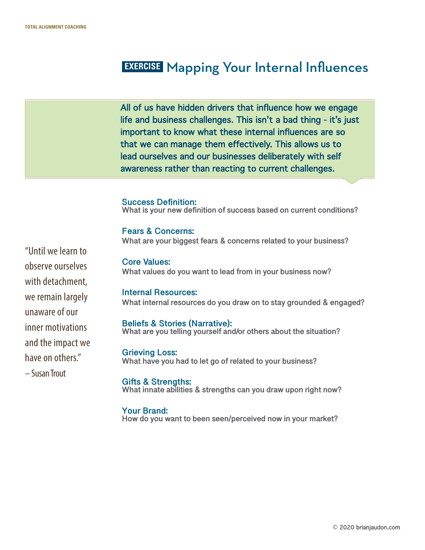## **EXERCISE** Mapping Your Internal Influences

All of us have hidden drivers that influence how we engage life and business challenges. This isn't a bad thing - it's just important to know what these internal influences are so that we can manage them effectively. This allows us to lead ourselves and our businesses deliberately with self awareness rather than reacting to current challenges.

**Success Definition: What is your new definition of success based on current conditions?** 

**Fears & Concerns: What are your biggest fears & concerns related to your business?** 

**Core Values: What values do you want to lead from in your business now?** 

**Internal Resources: What internal resources do you draw on to stay grounded & engaged?**

**Beliefs & Stories (Narrative): What are you telling yourself and/or others about the situation?** 

**Grieving Loss: What have you had to let go of related to your business?** 

**Gifts & Strengths: What innate abilities & strengths can you draw upon right now?**

**Your Brand: How do you want to been seen/perceived now in your market?** 

"Until we learn to observe ourselves with detachment, we remain largely unaware of our inner motivations and the impact we have on others." – Susan Trout